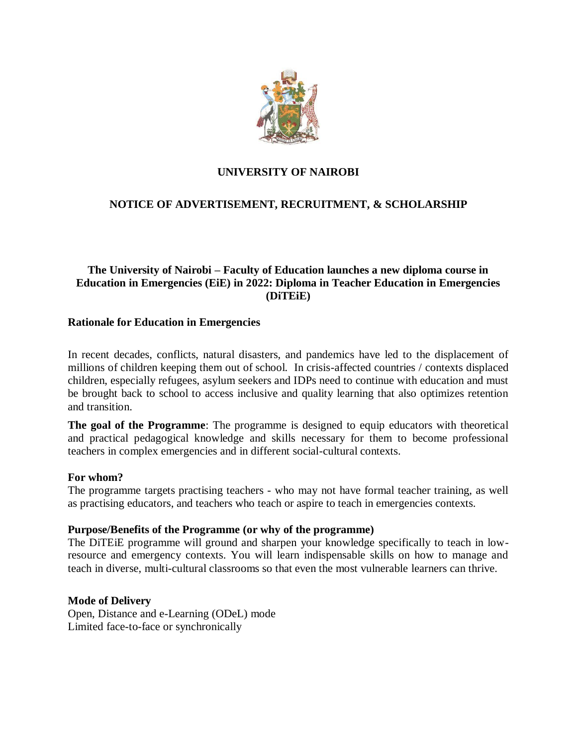

## **UNIVERSITY OF NAIROBI**

# **NOTICE OF ADVERTISEMENT, RECRUITMENT, & SCHOLARSHIP**

## **The University of Nairobi – Faculty of Education launches a new diploma course in Education in Emergencies (EiE) in 2022: Diploma in Teacher Education in Emergencies (DiTEiE)**

### **Rationale for Education in Emergencies**

In recent decades, conflicts, natural disasters, and pandemics have led to the displacement of millions of children keeping them out of school. In crisis-affected countries / contexts displaced children, especially refugees, asylum seekers and IDPs need to continue with education and must be brought back to school to access inclusive and quality learning that also optimizes retention and transition.

**The goal of the Programme**: The programme is designed to equip educators with theoretical and practical pedagogical knowledge and skills necessary for them to become professional teachers in complex emergencies and in different social-cultural contexts.

### **For whom?**

The programme targets practising teachers - who may not have formal teacher training, as well as practising educators, and teachers who teach or aspire to teach in emergencies contexts.

### **Purpose/Benefits of the Programme (or why of the programme)**

The DiTEiE programme will ground and sharpen your knowledge specifically to teach in lowresource and emergency contexts. You will learn indispensable skills on how to manage and teach in diverse, multi-cultural classrooms so that even the most vulnerable learners can thrive.

### **Mode of Delivery**

Open, Distance and e-Learning (ODeL) mode Limited face-to-face or synchronically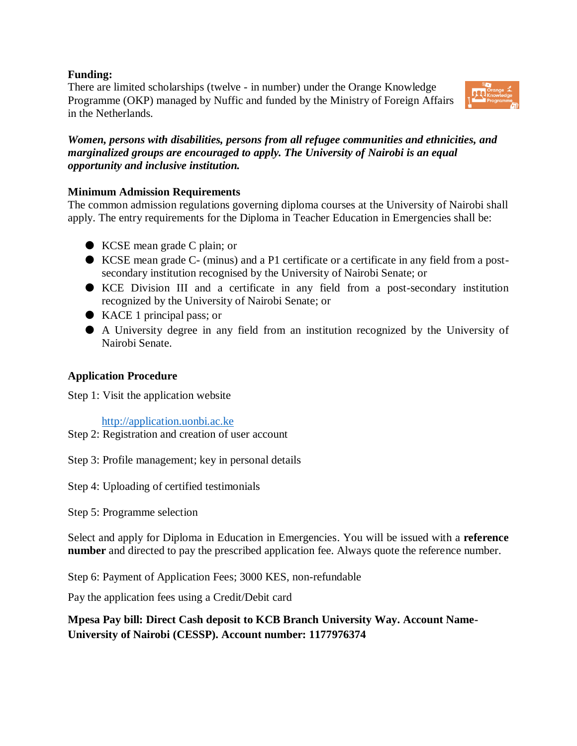## **Funding:**

There are limited scholarships (twelve - in number) under the Orange Knowledge Programme (OKP) managed by Nuffic and funded by the Ministry of Foreign Affairs in the Netherlands.



*Women, persons with disabilities, persons from all refugee communities and ethnicities, and marginalized groups are encouraged to apply. The University of Nairobi is an equal opportunity and inclusive institution.*

## **Minimum Admission Requirements**

The common admission regulations governing diploma courses at the University of Nairobi shall apply. The entry requirements for the Diploma in Teacher Education in Emergencies shall be:

- KCSE mean grade C plain; or
- KCSE mean grade C- (minus) and a P1 certificate or a certificate in any field from a postsecondary institution recognised by the University of Nairobi Senate; or
- KCE Division III and a certificate in any field from a post-secondary institution recognized by the University of Nairobi Senate; or
- KACE 1 principal pass; or
- A University degree in any field from an institution recognized by the University of Nairobi Senate.

## **Application Procedure**

Step 1: Visit the application website

[http://application.uonbi.ac.ke](http://application.uonbi.ac.ke/)

Step 2: Registration and creation of user account

Step 3: Profile management; key in personal details

Step 4: Uploading of certified testimonials

Step 5: Programme selection

Select and apply for Diploma in Education in Emergencies. You will be issued with a **reference number** and directed to pay the prescribed application fee. Always quote the reference number.

Step 6: Payment of Application Fees; 3000 KES, non-refundable

Pay the application fees using a Credit/Debit card

**Mpesa Pay bill: Direct Cash deposit to KCB Branch University Way. Account Name-University of Nairobi (CESSP). Account number: 1177976374**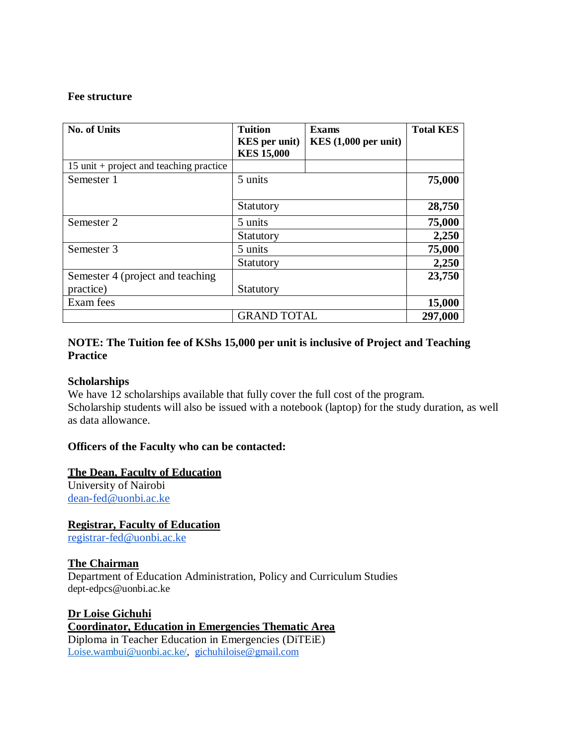### **Fee structure**

| <b>No. of Units</b>                       | <b>Tuition</b><br><b>KES</b> per unit)<br><b>KES 15,000</b> | <b>Exams</b><br>KES(1,000 per unit) | <b>Total KES</b> |
|-------------------------------------------|-------------------------------------------------------------|-------------------------------------|------------------|
| $15$ unit + project and teaching practice |                                                             |                                     |                  |
| Semester 1                                | 5 units<br>Statutory                                        |                                     | 75,000           |
|                                           |                                                             |                                     | 28,750           |
| Semester 2                                | 5 units                                                     |                                     | 75,000           |
|                                           | Statutory                                                   |                                     | 2,250            |
| Semester 3                                | 5 units                                                     |                                     | 75,000           |
|                                           | Statutory                                                   |                                     | 2,250            |
| Semester 4 (project and teaching          |                                                             |                                     | 23,750           |
| practice)                                 | Statutory                                                   |                                     |                  |
| Exam fees                                 |                                                             |                                     | 15,000           |
|                                           | <b>GRAND TOTAL</b>                                          |                                     | 297,000          |

### **NOTE: The Tuition fee of KShs 15,000 per unit is inclusive of Project and Teaching Practice**

### **Scholarships**

We have 12 scholarships available that fully cover the full cost of the program. Scholarship students will also be issued with a notebook (laptop) for the study duration, as well as data allowance.

### **Officers of the Faculty who can be contacted:**

### **The Dean, Faculty of Education**

University of Nairobi [dean-fed@uonbi.ac.ke](mailto:dean-fed@uonbi.ac.ke)

**Registrar, Faculty of Education** [registrar-fed@uonbi.ac.ke](mailto:registrar-fed@uonbi.ac.ke)

### **The Chairman**

Department of Education Administration, Policy and Curriculum Studies [dept-edpcs@uonbi.ac.ke](mailto:Dept-edpcs@uonbi.ac.ke)

**Dr Loise Gichuhi Coordinator, Education in Emergencies Thematic Area**  Diploma in Teacher Education in Emergencies (DiTEiE) [Loise.wambui@uonbi.ac.ke/,](about:blank) [gichuhiloise@gmail.com](mailto:gichuhiloise@gmail.com)